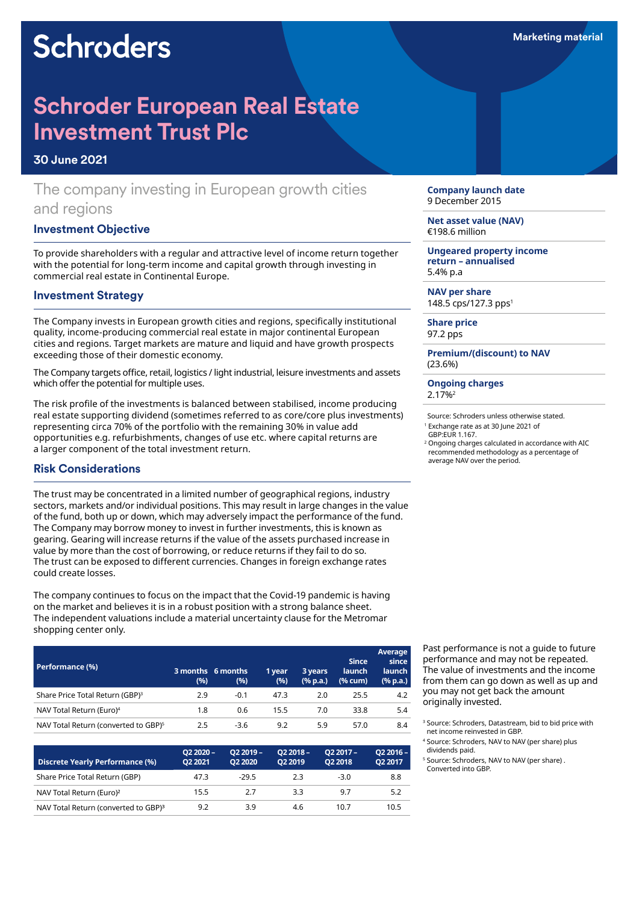# **Schroders**

# **Schroder European Real Estate Investment Trust Plc**

#### **30 June 2021**

# The company investing in European growth cities and regions

#### **Investment Objective**

To provide shareholders with a regular and attractive level of income return together with the potential for long-term income and capital growth through investing in commercial real estate in Continental Europe.

#### **Investment Strategy**

The Company invests in European growth cities and regions, specifically institutional quality, income-producing commercial real estate in major continental European cities and regions. Target markets are mature and liquid and have growth prospects exceeding those of their domestic economy.

The Company targets office, retail, logistics / light industrial, leisure investments and assets which offer the potential for multiple uses.

The risk profile of the investments is balanced between stabilised, income producing real estate supporting dividend (sometimes referred to as core/core plus investments) representing circa 70% of the portfolio with the remaining 30% in value add opportunities e.g. refurbishments, changes of use etc. where capital returns are a larger component of the total investment return.

#### **Risk Considerations**

The trust may be concentrated in a limited number of geographical regions, industry sectors, markets and/or individual positions. This may result in large changes in the value of the fund, both up or down, which may adversely impact the performance of the fund. The Company may borrow money to invest in further investments, this is known as gearing. Gearing will increase returns if the value of the assets purchased increase in value by more than the cost of borrowing, or reduce returns if they fail to do so. The trust can be exposed to different currencies. Changes in foreign exchange rates could create losses.

The company continues to focus on the impact that the Covid-19 pandemic is having on the market and believes it is in a robust position with a strong balance sheet. The independent valuations include a material uncertainty clause for the Metromar shopping center only.

| Performance (%)                                  | (%) | 3 months 6 months<br>(%) | 1 year<br>(9/6) | 3 years<br>$(% \mathbf{a})$ (% p.a.) | <b>Since</b><br><b>launch</b><br>(% cum) | Average<br>since<br><b>launch</b><br>(% p.a.) |
|--------------------------------------------------|-----|--------------------------|-----------------|--------------------------------------|------------------------------------------|-----------------------------------------------|
| Share Price Total Return (GBP) <sup>3</sup>      | 2.9 | $-0.1$                   | 47.3            | 2.0                                  | 25.5                                     | 4.2                                           |
| NAV Total Return (Euro) <sup>4</sup>             | 1.8 | 0.6                      | 15.5            | 7.0                                  | 33.8                                     | 5.4                                           |
| NAV Total Return (converted to GBP) <sup>5</sup> | 2.5 | $-3.6$                   | 9.2             | 5.9                                  | 57.0                                     | 8.4                                           |

| Discrete Yearly Performance (%)                  | $O22020 -$<br>O <sub>2</sub> 2021 | $O22019 -$<br>O <sub>2</sub> 2020 | $O22018 -$<br>O <sub>2</sub> 2019 | $O22017 -$<br>O <sub>2</sub> 2018 | Q2 2016 -<br>Q2 2017 |
|--------------------------------------------------|-----------------------------------|-----------------------------------|-----------------------------------|-----------------------------------|----------------------|
| Share Price Total Return (GBP)                   | 47.3                              | $-29.5$                           | 2.3                               | $-3.0$                            | 8.8                  |
| NAV Total Return (Euro) <sup>2</sup>             | 15.5                              | 2.7                               | 3.3                               | 9.7                               | 5.2                  |
| NAV Total Return (converted to GBP) <sup>3</sup> | 9.2                               | 3.9                               | 4.6                               | 10.7                              | 10.5                 |

**Company launch date** 9 December 2015

**Net asset value (NAV)** €198.6 million

**Ungeared property income return – annualised** 5.4% p.a

**NAV per share** 148.5 cps/127.3 pps<sup>1</sup>

**Share price** 97.2 pps

**Premium/(discount) to NAV** (23.6%)

**Ongoing charges** 2.17%2

Source: Schroders unless otherwise stated. <sup>1</sup> Exchange rate as at 30 June 2021 of GBP:EUR 1.167.

<sup>2</sup> Ongoing charges calculated in accordance with AIC recommended methodology as a percentage of average NAV over the period.

Past performance is not a guide to future performance and may not be repeated. The value of investments and the income from them can go down as well as up and you may not get back the amount originally invested.

<sup>3</sup> Source: Schroders, Datastream, bid to bid price with net income reinvested in GBP.

<sup>4</sup> Source: Schroders, NAV to NAV (per share) plus dividends paid.

<sup>5</sup> Source: Schroders, NAV to NAV (per share) . Converted into GBP.